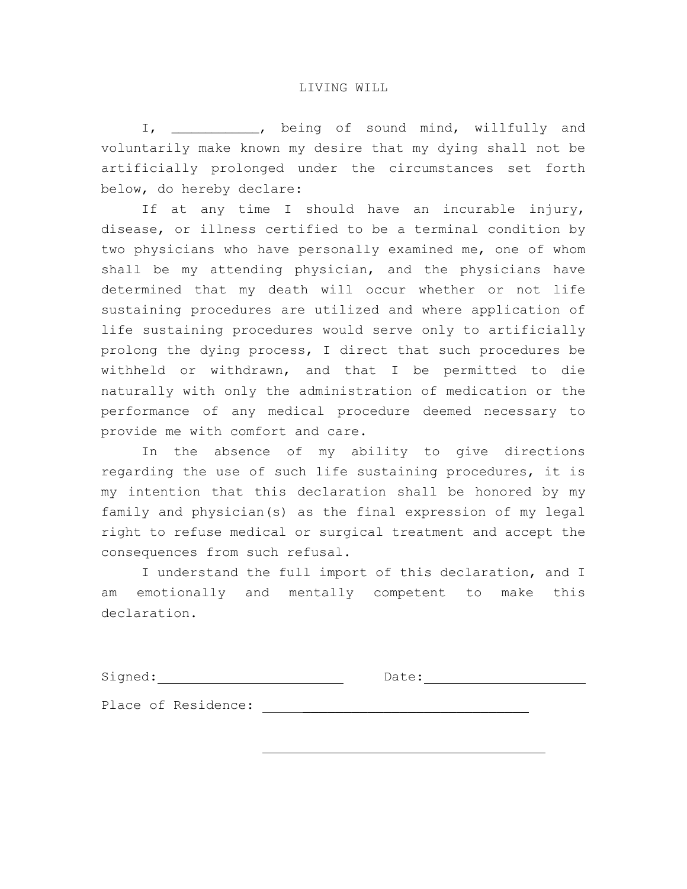I, \_\_\_\_\_\_\_\_\_\_\_\_\_, being of sound mind, willfully and voluntarily make known my desire that my dying shall not be artificially prolonged under the circumstances set forth below, do hereby declare:

If at any time I should have an incurable injury, disease, or illness certified to be a terminal condition by two physicians who have personally examined me, one of whom shall be my attending physician, and the physicians have determined that my death will occur whether or not life sustaining procedures are utilized and where application of life sustaining procedures would serve only to artificially prolong the dying process, I direct that such procedures be withheld or withdrawn, and that I be permitted to die naturally with only the administration of medication or the performance of any medical procedure deemed necessary to provide me with comfort and care.

In the absence of my ability to give directions regarding the use of such life sustaining procedures, it is my intention that this declaration shall be honored by my family and physician(s) as the final expression of my legal right to refuse medical or surgical treatment and accept the consequences from such refusal.

I understand the full import of this declaration, and I am emotionally and mentally competent to make this declaration.

Signed: Date:

Place of Residence: